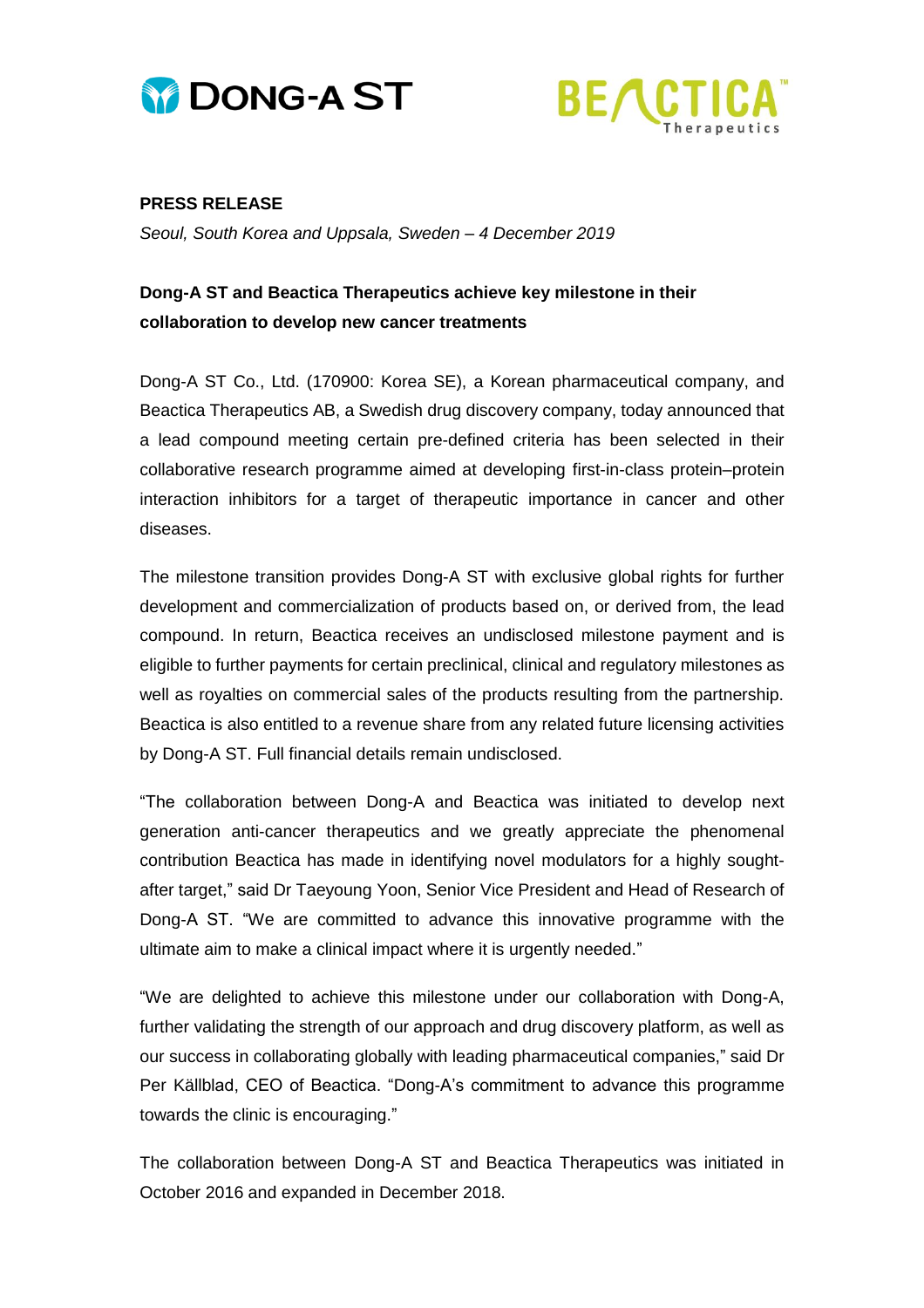



## **PRESS RELEASE**

*Seoul, South Korea and Uppsala, Sweden – 4 December 2019*

## **Dong-A ST and Beactica Therapeutics achieve key milestone in their collaboration to develop new cancer treatments**

Dong-A ST Co., Ltd. (170900: Korea SE), a Korean pharmaceutical company, and Beactica Therapeutics AB, a Swedish drug discovery company, today announced that a lead compound meeting certain pre-defined criteria has been selected in their collaborative research programme aimed at developing first-in-class protein–protein interaction inhibitors for a target of therapeutic importance in cancer and other diseases.

The milestone transition provides Dong-A ST with exclusive global rights for further development and commercialization of products based on, or derived from, the lead compound. In return, Beactica receives an undisclosed milestone payment and is eligible to further payments for certain preclinical, clinical and regulatory milestones as well as royalties on commercial sales of the products resulting from the partnership. Beactica is also entitled to a revenue share from any related future licensing activities by Dong-A ST. Full financial details remain undisclosed.

"The collaboration between Dong-A and Beactica was initiated to develop next generation anti-cancer therapeutics and we greatly appreciate the phenomenal contribution Beactica has made in identifying novel modulators for a highly soughtafter target," said Dr Taeyoung Yoon, Senior Vice President and Head of Research of Dong-A ST. "We are committed to advance this innovative programme with the ultimate aim to make a clinical impact where it is urgently needed."

"We are delighted to achieve this milestone under our collaboration with Dong-A, further validating the strength of our approach and drug discovery platform, as well as our success in collaborating globally with leading pharmaceutical companies," said Dr Per Källblad, CEO of Beactica. "Dong-A's commitment to advance this programme towards the clinic is encouraging."

The collaboration between Dong-A ST and Beactica Therapeutics was initiated in October 2016 and expanded in December 2018.